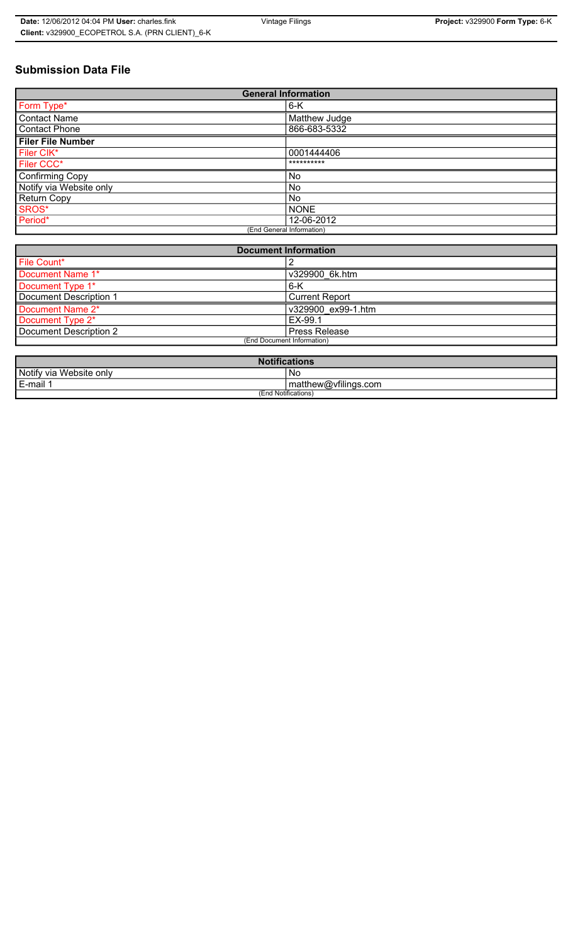# **Submission Data File**

| <b>General Information</b> |               |
|----------------------------|---------------|
| Form Type*                 | $6-K$         |
| <b>Contact Name</b>        | Matthew Judge |
| <b>Contact Phone</b>       | 866-683-5332  |
| <b>Filer File Number</b>   |               |
| Filer CIK*                 | 0001444406    |
| Filer CCC*                 | **********    |
| <b>Confirming Copy</b>     | No            |
| Notify via Website only    | No.           |
| <b>Return Copy</b>         | No.           |
| SROS*                      | <b>NONE</b>   |
| Period*                    | 12-06-2012    |
| (End General Information)  |               |

| <b>Document Information</b> |                       |
|-----------------------------|-----------------------|
| File Count*                 |                       |
| Document Name 1*            | v329900 6k.htm        |
| Document Type 1*            | $6 - K$               |
| Document Description 1      | <b>Current Report</b> |
| Document Name 2*            | v329900 ex99-1.htm    |
| Document Type 2*            | EX-99.1               |
| Document Description 2      | Press Release         |
| (End Document Information)  |                       |
|                             |                       |

| <b>Notifications</b>    |                      |
|-------------------------|----------------------|
| Notify via Website only | No                   |
| E-mail <sup>1</sup>     | matthew@vfilings.com |
| (End Notifications)     |                      |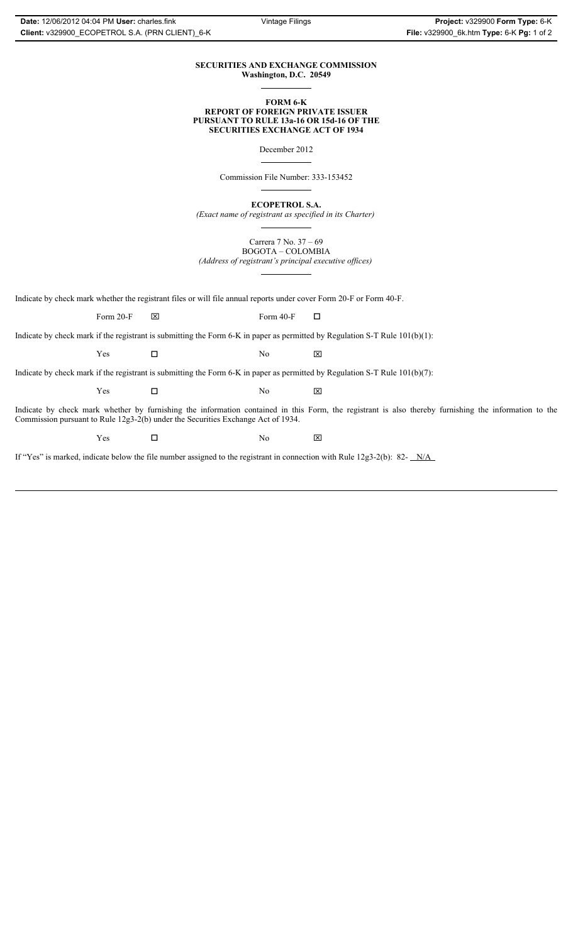### **SECURITIES AND EXCHANGE COMMISSION Washington, D.C. 20549**

#### **FORM 6-K REPORT OF FOREIGN PRIVATE ISSUER PURSUANT TO RULE 13a-16 OR 15d-16 OF THE SECURITIES EXCHANGE ACT OF 1934**

December 2012

Commission File Number: 333-153452

**ECOPETROL S.A.**

*(Exact name of registrant as specified in its Charter)*

Carrera 7 No. 37 – 69 BOGOTA – COLOMBIA

*(Address of registrant's principal executive offices)*

Indicate by check mark whether the registrant files or will file annual reports under cover Form 20-F or Form 40-F.

Form 20-F  $\boxtimes$  Form 40-F  $\Box$ 

Indicate by check mark if the registrant is submitting the Form 6-K in paper as permitted by Regulation S-T Rule 101(b)(1):

 $Yes$   $\Box$   $No$   $X$ 

Indicate by check mark if the registrant is submitting the Form 6-K in paper as permitted by Regulation S-T Rule 101(b)(7):

 $Yes$   $\Box$   $No$   $X$ 

Indicate by check mark whether by furnishing the information contained in this Form, the registrant is also thereby furnishing the information to the Commission pursuant to Rule 12g3-2(b) under the Securities Exchange Act of 1934.

 $Yes$   $\square$ 

If "Yes" is marked, indicate below the file number assigned to the registrant in connection with Rule 12g3-2(b): 82- N/A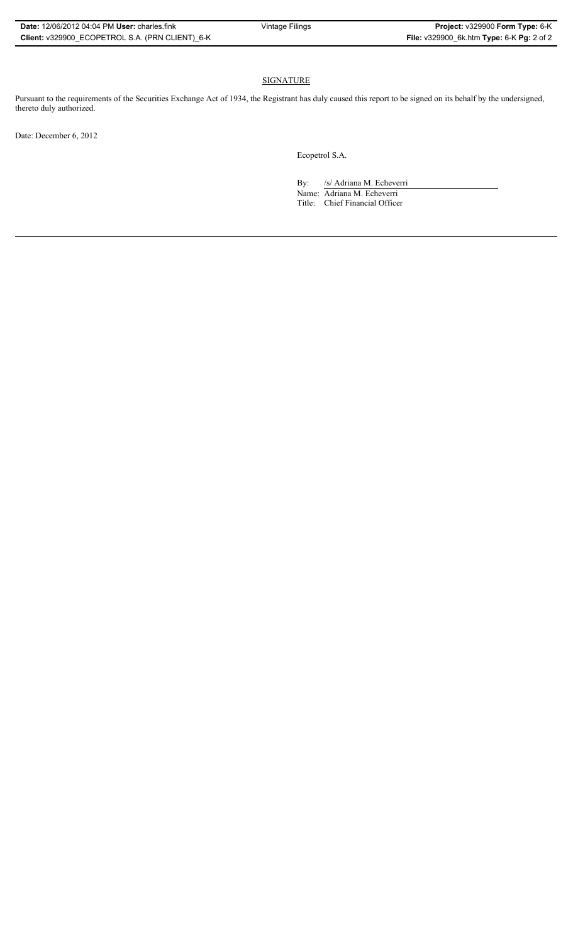## SIGNATURE

Pursuant to the requirements of the Securities Exchange Act of 1934, the Registrant has duly caused this report to be signed on its behalf by the undersigned, thereto duly authorized.

Date: December 6, 2012

Ecopetrol S.A.

By: /s/ Adriana M. Echeverri

Name: Adriana M. Echeverri Title: Chief Financial Officer